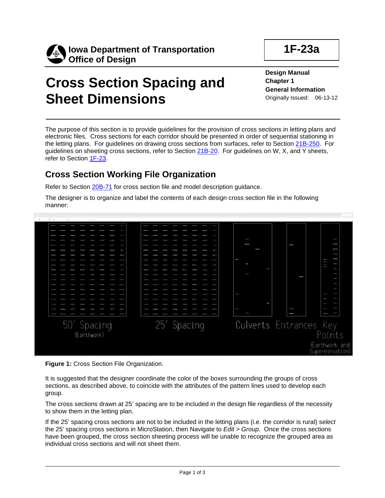



# **Cross Section Spacing and Sheet Dimensions**

**Design Manual Chapter 1 General Information** Originally Issued: 06-13-12

The purpose of this section is to provide guidelines for the provision of cross sections in letting plans and electronic files. Cross sections for each corridor should be presented in order of sequential stationing in the letting plans. For guidelines on drawing cross sections from surfaces, refer to Section 21B-250. For guidelines on sheeting cross sections, refer to Section 21B-20. For guidelines on W, X, and Y sheets, refer to Section 1F-23.

#### **Cross Section Working File Organization**

Refer to Section 20B-71 for cross section file and model description guidance.

The designer is to organize and label the contents of each design cross section file in the following manner:





It is suggested that the designer coordinate the color of the boxes surrounding the groups of cross sections, as described above, to coincide with the attributes of the pattern lines used to develop each group.

The cross sections drawn at 25' spacing are to be included in the design file regardless of the necessity to show them in the letting plan.

If the 25' spacing cross sections are not to be included in the letting plans (i.e. the corridor is rural) s*elect* the 25' spacing cross sections in MicroStation, then Navigate to *Edit > Group*. Once the cross sections have been grouped, the cross section sheeting process will be unable to recognize the grouped area as individual cross sections and will not sheet them.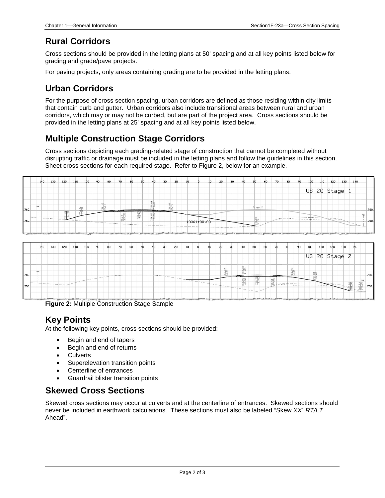### **Rural Corridors**

Cross sections should be provided in the letting plans at 50' spacing and at all key points listed below for grading and grade/pave projects.

For paving projects, only areas containing grading are to be provided in the letting plans.

# **Urban Corridors**

For the purpose of cross section spacing, urban corridors are defined as those residing within city limits that contain curb and gutter. Urban corridors also include transitional areas between rural and urban corridors, which may or may not be curbed, but are part of the project area. Cross sections should be provided in the letting plans at 25' spacing and at all key points listed below.

# **Multiple Construction Stage Corridors**

Cross sections depicting each grading-related stage of construction that cannot be completed without disrupting traffic or drainage must be included in the letting plans and follow the guidelines in this section. Sheet cross sections for each required stage. Refer to Figure 2, below for an example.





**Figure 2:** Multiple Construction Stage Sample

#### **Key Points**

At the following key points, cross sections should be provided:

- Begin and end of tapers
- Begin and end of returns
- Culverts
- Superelevation transition points
- Centerline of entrances
- Guardrail blister transition points

#### **Skewed Cross Sections**

Skewed cross sections may occur at culverts and at the centerline of entrances. Skewed sections should never be included in earthwork calculations. These sections must also be labeled "Skew *XX*˚ *RT/LT* Ahead".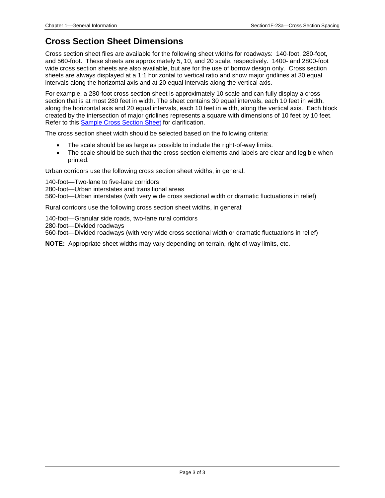### **Cross Section Sheet Dimensions**

Cross section sheet files are available for the following sheet widths for roadways: 140-foot, 280-foot, and 560-foot. These sheets are approximately 5, 10, and 20 scale, respectively. 1400- and 2800-foot wide cross section sheets are also available, but are for the use of borrow design only. Cross section sheets are always displayed at a 1:1 horizontal to vertical ratio and show major gridlines at 30 equal intervals along the horizontal axis and at 20 equal intervals along the vertical axis.

For example, a 280-foot cross section sheet is approximately 10 scale and can fully display a cross section that is at most 280 feet in width. The sheet contains 30 equal intervals, each 10 feet in width, along the horizontal axis and 20 equal intervals, each 10 feet in width, along the vertical axis. Each block created by the intersection of major gridlines represents a square with dimensions of 10 feet by 10 feet. Refer to this Sample Cross Section Sheet for clarification.

The cross section sheet width should be selected based on the following criteria:

- The scale should be as large as possible to include the right-of-way limits.
- The scale should be such that the cross section elements and labels are clear and legible when printed.

Urban corridors use the following cross section sheet widths, in general:

140-foot—Two-lane to five-lane corridors

280-foot—Urban interstates and transitional areas

560-foot—Urban interstates (with very wide cross sectional width or dramatic fluctuations in relief)

Rural corridors use the following cross section sheet widths, in general:

140-foot—Granular side roads, two-lane rural corridors 280-foot—Divided roadways 560-foot—Divided roadways (with very wide cross sectional width or dramatic fluctuations in relief)

**NOTE:** Appropriate sheet widths may vary depending on terrain, right-of-way limits, etc.